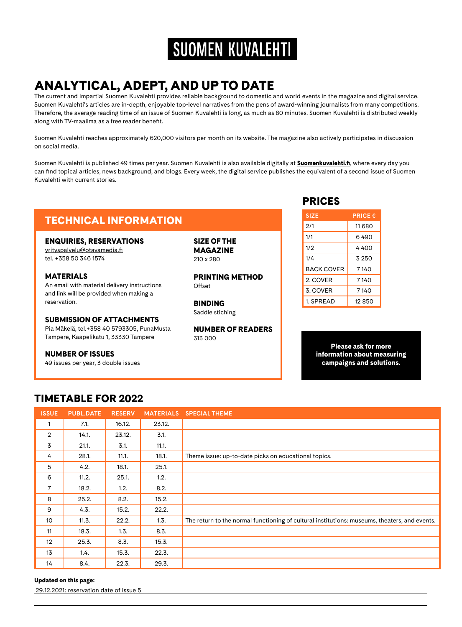## **SUOMEN KUVALEHTI**

## ANALYTICAL, ADEPT, AND UP TO DATE

The current and impartial Suomen Kuvalehti provides reliable background to domestic and world events in the magazine and digital service. Suomen Kuvalehti's articles are in-depth, enjoyable top-level narratives from the pens of award-winning journalists from many competitions. Therefore, the average reading time of an issue of Suomen Kuvalehti is long, as much as 80 minutes. Suomen Kuvalehti is distributed weekly along with TV-maailma as a free reader benefit.

Suomen Kuvalehti reaches approximately 620,000 visitors per month on its website. The magazine also actively participates in discussion on social media.

Suomen Kuvalehti is published 49 times per year. Suomen Kuvalehti is also available digitally at **[Suomenkuvalehti.fi](http://Suomenkuvalehti.fi)**, where every day you can find topical articles, news background, and blogs. Every week, the digital service publishes the equivalent of a second issue of Suomen Kuvalehti with current stories.

## TECHNICAL INFORMATION

#### ENQUIRIES, RESERVATIONS

[yrityspalvelu@otavamedia.fi](mailto:yrityspalvelu%40otavamedia.fi?subject=)  tel. +358 50 346 1574

#### MATERIALS

An email with material delivery instructions and link will be provided when making a reservation.

#### SUBMISSION OF ATTACHMENTS

Pia Mäkelä, tel.+358 40 5793305, PunaMusta Tampere, Kaapelikatu 1, 33330 Tampere

#### NUMBER OF ISSUES

49 issues per year, 3 double issues

SIZE OF THE MAGAZINE 210 x 280

PRINTING METHOD Offset

BINDING Saddle stiching

NUMBER OF READERS 313 000

### PRICES

| <b>SIZE</b>       | <b>PRICE €</b> |
|-------------------|----------------|
| 2/1               | 11 680         |
| 1/1               | 6 490          |
| 1/2               | 4 400          |
| 1/4               | 3 250          |
| <b>BACK COVER</b> | 7140           |
| 2. COVER          | 7140           |
| 3. COVER          | 7140           |
| 1. SPRFAD         | 12850          |
|                   |                |

Please ask for more information about measuring campaigns and solutions.

### TIMETABLE FOR 2022

| <b>ISSUE</b>      | <b>PUBL.DATE</b> | <b>RESERV</b> | <b>MATERIALS</b> | <b>SPECIAL THEME</b>                                                                          |
|-------------------|------------------|---------------|------------------|-----------------------------------------------------------------------------------------------|
| 1                 | 7.1.             | 16.12.        | 23.12.           |                                                                                               |
| $\overline{2}$    | 14.1.            | 23.12.        | 3.1.             |                                                                                               |
| 3                 | 21.1.            | 3.1.          | 11.1.            |                                                                                               |
| 4                 | 28.1.            | 11.1.         | 18.1.            | Theme issue: up-to-date picks on educational topics.                                          |
| 5                 | 4.2.             | 18.1.         | 25.1.            |                                                                                               |
| 6                 | 11.2.            | 25.1.         | 1.2.             |                                                                                               |
| 7                 | 18.2.            | 1.2.          | 8.2.             |                                                                                               |
| 8                 | 25.2.            | 8.2.          | 15.2.            |                                                                                               |
| 9                 | 4.3.             | 15.2.         | 22.2.            |                                                                                               |
| 10                | 11.3.            | 22.2.         | 1.3.             | The return to the normal functioning of cultural institutions: museums, theaters, and events. |
| 11                | 18.3.            | 1.3.          | 8.3.             |                                                                                               |
| $12 \overline{ }$ | 25.3.            | 8.3.          | 15.3.            |                                                                                               |
| 13                | 1.4.             | 15.3.         | 22.3.            |                                                                                               |
| 14                | 8.4.             | 22.3.         | 29.3.            |                                                                                               |

#### Updated on this page:

29.12.2021: reservation date of issue 5